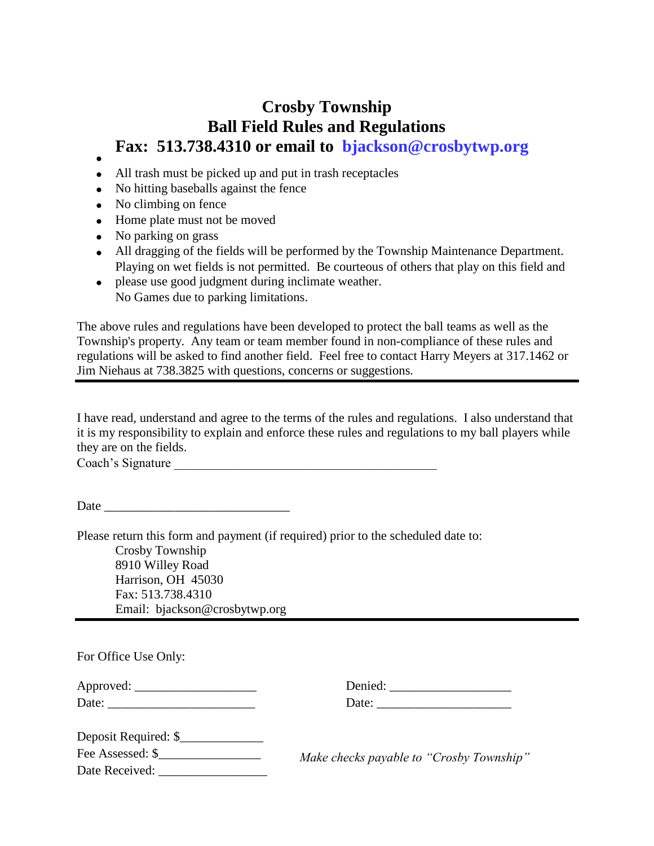## **Crosby Township Ball Field Rules and Regulations Fax: 513.738.4310 or email to bjackson@crosbytwp.org**

- $\bullet$
- All trash must be picked up and put in trash receptacles
- No hitting baseballs against the fence
- No climbing on fence
- Home plate must not be moved
- No parking on grass
- All dragging of the fields will be performed by the Township Maintenance Department. Playing on wet fields is not permitted. Be courteous of others that play on this field and
- please use good judgment during inclimate weather. No Games due to parking limitations.

The above rules and regulations have been developed to protect the ball teams as well as the Township's property. Any team or team member found in non-compliance of these rules and regulations will be asked to find another field. Feel free to contact Harry Meyers at 317.1462 or Jim Niehaus at 738.3825 with questions, concerns or suggestions.

I have read, understand and agree to the terms of the rules and regulations. I also understand that it is my responsibility to explain and enforce these rules and regulations to my ball players while they are on the fields.

Coach's Signature \_\_\_\_\_\_\_\_\_\_\_\_\_\_\_\_\_\_\_\_\_\_\_\_\_\_\_\_\_\_\_\_\_\_\_\_\_\_\_\_\_

Date  $\Box$ 

Please return this form and payment (if required) prior to the scheduled date to: Crosby Township 8910 Willey Road Harrison, OH 45030 Fax: 513.738.4310 Email: bjackson@crosbytwp.org

| For Office Use Only:                                   |                                          |
|--------------------------------------------------------|------------------------------------------|
|                                                        | Denied:                                  |
| Date: $\frac{1}{\sqrt{1-\frac{1}{2}}\cdot\frac{1}{2}}$ |                                          |
| Deposit Required: \$                                   |                                          |
| Fee Assessed: \$                                       | Make checks payable to "Crosby Township" |
| Date Received:                                         |                                          |